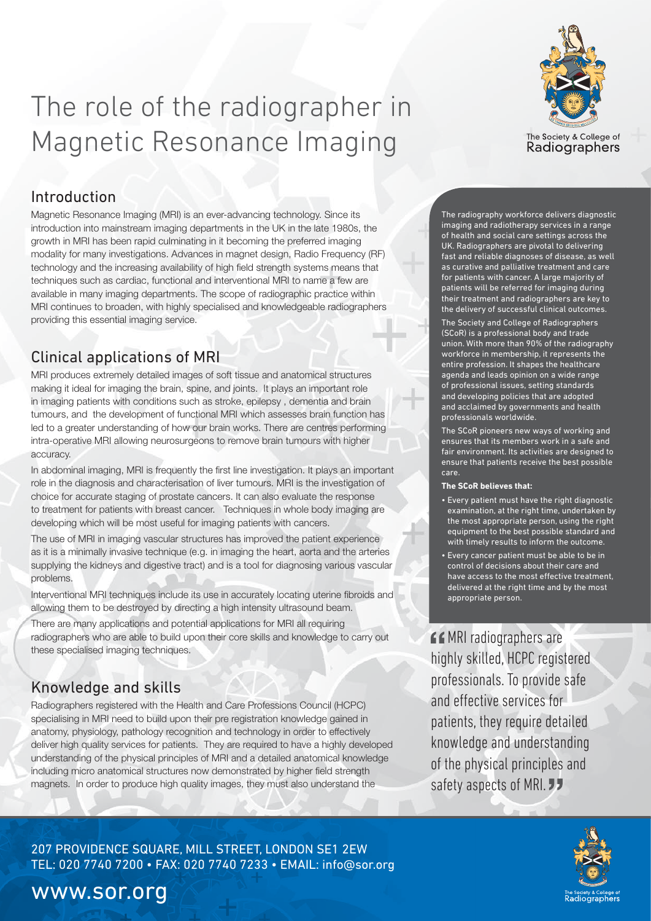

# The role of the radiographer in Magnetic Resonance Imaging

### Introduction

Magnetic Resonance Imaging (MRI) is an ever-advancing technology. Since its introduction into mainstream imaging departments in the UK in the late 1980s, the growth in MRI has been rapid culminating in it becoming the preferred imaging modality for many investigations. Advances in magnet design, Radio Frequency (RF) technology and the increasing availability of high field strength systems means that techniques such as cardiac, functional and interventional MRI to name a few are available in many imaging departments. The scope of radiographic practice within MRI continues to broaden, with highly specialised and knowledgeable radiographers providing this essential imaging service.

## Clinical applications of MRI

MRI produces extremely detailed images of soft tissue and anatomical structures making it ideal for imaging the brain, spine, and joints. It plays an important role in imaging patients with conditions such as stroke, epilepsy , dementia and brain tumours, and the development of functional MRI which assesses brain function has led to a greater understanding of how our brain works. There are centres performing intra-operative MRI allowing neurosurgeons to remove brain tumours with higher accuracy.

In abdominal imaging, MRI is frequently the first line investigation. It plays an important role in the diagnosis and characterisation of liver tumours. MRI is the investigation of choice for accurate staging of prostate cancers. It can also evaluate the response to treatment for patients with breast cancer. Techniques in whole body imaging are developing which will be most useful for imaging patients with cancers.

The use of MRI in imaging vascular structures has improved the patient experience as it is a minimally invasive technique (e.g. in imaging the heart, aorta and the arteries supplying the kidneys and digestive tract) and is a tool for diagnosing various vascular problems.

Interventional MRI techniques include its use in accurately locating uterine fibroids and allowing them to be destroyed by directing a high intensity ultrasound beam.

There are many applications and potential applications for MRI all requiring radiographers who are able to build upon their core skills and knowledge to carry out these specialised imaging techniques.

## Knowledge and skills

Radiographers registered with the Health and Care Professions Council (HCPC) specialising in MRI need to build upon their pre registration knowledge gained in anatomy, physiology, pathology recognition and technology in order to effectively deliver high quality services for patients. They are required to have a highly developed understanding of the physical principles of MRI and a detailed anatomical knowledge including micro anatomical structures now demonstrated by higher field strength magnets. In order to produce high quality images, they must also understand the

The radiography workforce delivers diagnostic imaging and radiotherapy services in a range of health and social care settings across the UK. Radiographers are pivotal to delivering fast and reliable diagnoses of disease, as well as curative and palliative treatment and care for patients with cancer. A large majority of patients will be referred for imaging during their treatment and radiographers are key to the delivery of successful clinical outcomes.

The Society and College of Radiographers (SCoR) is a professional body and trade union. With more than 90% of the radiography workforce in membership, it represents the entire profession. It shapes the healthcare agenda and leads opinion on a wide range of professional issues, setting standards and developing policies that are adopted and acclaimed by governments and health professionals worldwide.

The SCoR pioneers new ways of working and ensures that its members work in a safe and fair environment. Its activities are designed to ensure that patients receive the best possible care.

#### **The SCoR believes that:**

- Every patient must have the right diagnostic examination, at the right time, undertaken by the most appropriate person, using the right equipment to the best possible standard and with timely results to inform the outcome.
- Every cancer patient must be able to be in control of decisions about their care and have access to the most effective treatment, delivered at the right time and by the most appropriate person.

*COMRI radiographers are* highly skilled, HCPC registered professionals. To provide safe and effective services for patients, they require detailed knowledge and understanding of the physical principles and safety aspects of MRI. **JJ** 



207 PROVIDENCE SQUARE, MILL STREET, LONDON SE1 2EW TEL: 020 7740 7200 • FAX: 020 7740 7233 • EMAIL: info@sor.org

# www.sor.org